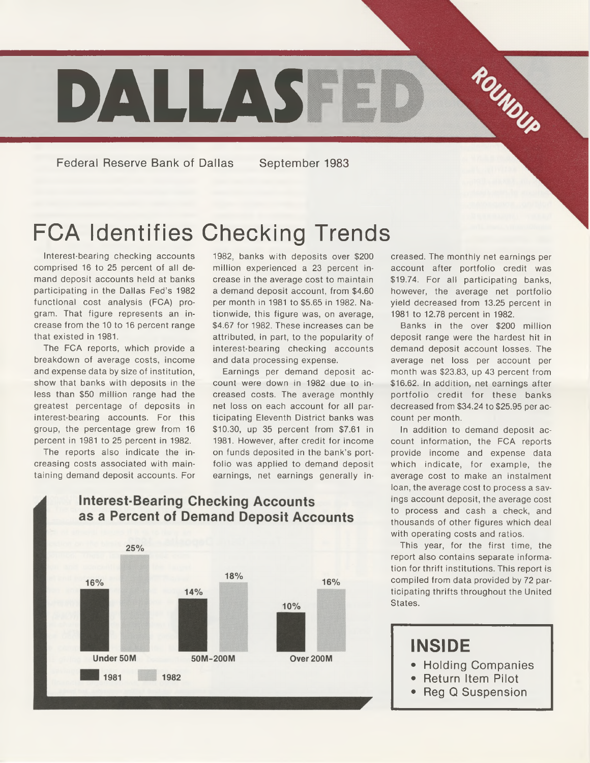

**Federal Reserve Bank of Dallas September 1983**

# FCA Identifies Checking Trends

Interest-bearing checking accounts comprised 16 to 25 percent of all demand deposit accounts held at banks participating in the Dallas Fed's 1982 functional cost analysis (FCA) program. That figure represents an increase from the 10 to 16 percent range that existed in 1981.

The FCA reports, which provide a breakdown of average costs, income and expense data by size of institution, show that banks with deposits in the less than \$50 million range had the greatest percentage of deposits in interest-bearing accounts. For this group, the percentage grew from 16 percent in 1981 to 25 percent in 1982.

The reports also indicate the increasing costs associated with maintaining demand deposit accounts. For 1982, banks with deposits over \$200 million experienced a 23 percent increase in the average cost to maintain a demand deposit account, from \$4.60 per month in 1981 to \$5.65 in 1982. Nationwide, this figure was, on average, \$4.67 for 1982. These increases can be attributed, in part, to the popularity of interest-bearing checking accounts and data processing expense.

Earnings per demand deposit account were down in 1982 due to increased costs. The average monthly net loss on each account for all participating Eleventh District banks was \$10.30, up 35 percent from \$7.61 in 1981. However, after credit for income on funds deposited in the bank's portfolio was applied to demand deposit earnings, net earnings generally in-

creased. The monthly net earnings per account after portfolio credit was \$19.74. For all participating banks, however, the average net portfolio yield decreased from 13.25 percent in 1981 to 12.78 percent in 1982.

Banks in the over \$200 million deposit range were the hardest hit in demand deposit account losses. The average net loss per account per month was \$23.83, up 43 percent from \$16.62. In addition, net earnings after portfolio credit for these banks decreased from \$34.24 to \$25.95 per account per month.

In addition to demand deposit account information, the FCA reports provide income and expense data which indicate, for example, the average cost to make an instalment loan, the average cost to process a savings account deposit, the average cost to process and cash a check, and thousands of other figures which deal with operating costs and ratios.

This year, for the first time, the report also contains separate information for thrift institutions. This report is compiled from data provided by 72 participating thrifts throughout the United States.

### **INSIDE**

- **Holding Companies**
- **Return Item Pilot**
- **Reg Q Suspension**

#### **Interest-Bearing Checking Accounts** as a Percent of Demand Deposit Accounts

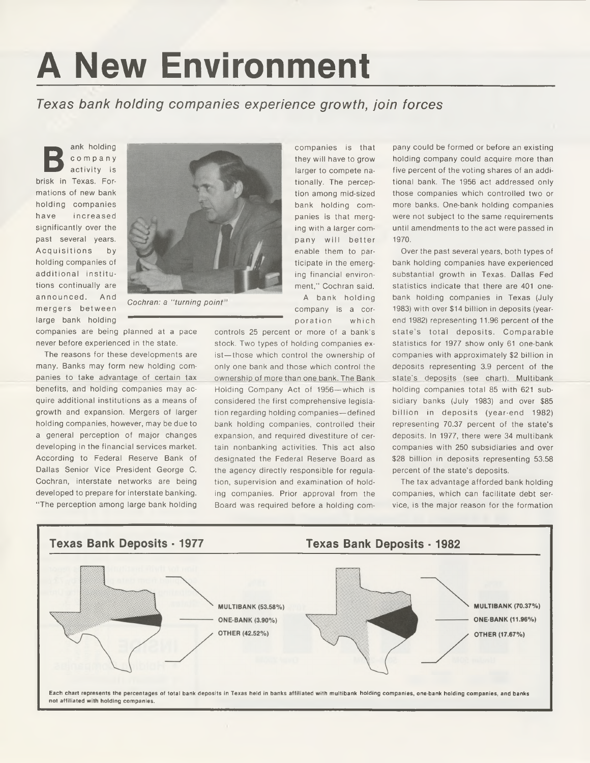# **A New Environment**

#### *Texas bank holding companies experience growth, join forces*

**B** ank holding company activity is brisk in Texas. Formations of new bank holding companies have in creased significantly over the past several years. Acquisitions by holding companies of additional institutions continually are announced. And m ergers betw een large bank holding



*Cochran: a "turning point*

companies are being planned at a pace never before experienced in the state.

The reasons for these developments are many. Banks may form new holding companies to take advantage of certain tax benefits, and holding companies may acquire additional institutions as a means of growth and expansion. Mergers of larger holding companies, however, may be due to a general perception of major changes developing in the financial services market. According to Federal Reserve Bank of Dallas Senior Vice President George C. Cochran, interstate networks are being developed to prepare for interstate banking. "The perception among large bank holding

companies is that they will have to grow larger to compete nationally. The perception among mid-sized bank holding companies is that merging with a larger company will better enable them to participate in the emerging financial environment," Cochran said. A bank holding company is a cor-

poration which

controls 25 percent or more of a bank's stock. Two types of holding companies exist—those which control the ownership of only one bank and those which control the ownership of more than one bank. The Bank Holding Company Act of 1956—which is considered the first comprehensive legislation regarding holding companies—defined bank holding companies, controlled their expansion, and required divestiture of certain nonbanking activities. This act also designated the Federal Reserve Board as the agency directly responsible for regulation, supervision and examination of holding companies. Prior approval from the Board was required before a holding com-

pany could be formed or before an existing holding company could acquire more than five percent of the voting shares of an additional bank. The 1956 act addressed only those companies which controlled two or more banks. One-bank holding companies were not subject to the same requirements until amendments to the act were passed in 1970.

Over the past several years, both types of bank holding companies have experienced substantial growth in Texas. Dallas Fed statistics indicate that there are 401 onebank holding companies in Texas (July 1983) with over \$14 billion in deposits (yearend 1982) representing 11.96 percent of the state's total deposits. Comparable statistics for 1977 show only 61 one-bank companies with approximately \$2 billion in deposits representing 3.9 percent of the state's deposits (see chart). Multibank holding companies total 85 with 621 subsidiary banks (July 1983) and over \$85 billion in deposits (year-end 1982) representing 70.37 percent of the state's deposits. In 1977, there were 34 multibank companies with 250 subsidiaries and over \$28 billion in deposits representing 53.58 percent of the state's deposits.

The tax advantage afforded bank holding companies, which can facilitate debt service, is the major reason for the formation

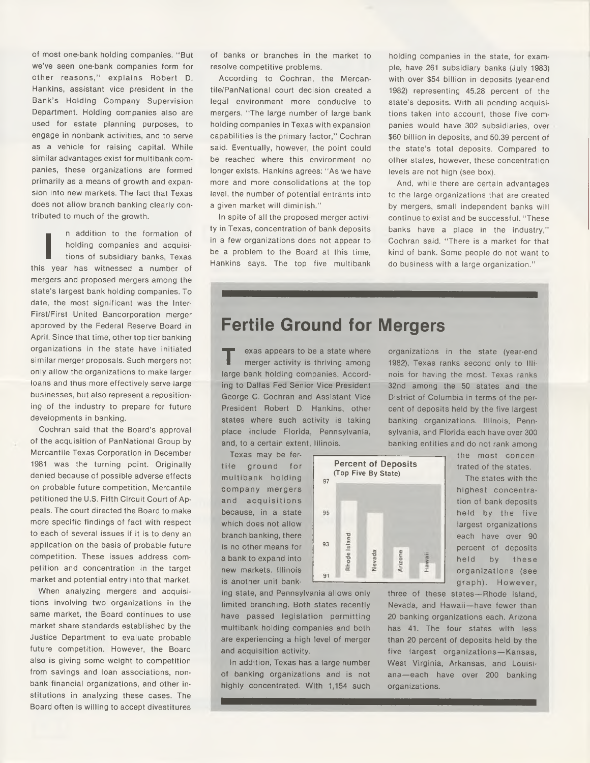of most one-bank holding companies. " But we've seen one-bank companies form for other reasons,'' explains Robert D. Hankins, assistant vice president in the Bank's Holding Company Supervision Department. Holding companies also are used for estate planning purposes, to engage in nonbank activities, and to serve as a vehicle for raising capital. While similar advantages exist for multibank companies, these organizations are formed primarily as a means of growth and expansion into new markets. The fact that Texas does not allow branch banking clearly contributed to much of the growth.

**I** n addition to the formation of holding companies and acquisitions of subsidiary banks, Texas this year has witnessed a number of mergers and proposed mergers among the state's largest bank holding companies. To date, the most significant was the Inter-First/First United Bancorporation merger approved by the Federal Reserve Board in April. Since that time, other top tier banking organizations in the state have initiated similar merger proposals. Such mergers not only allow the organizations to make larger loans and thus more effectively serve large businesses, but also represent a repositioning of the industry to prepare for future developments in banking.

Cochran said that the Board's approval of the acquisition of PanNational Group by Mercantile Texas Corporation in December 1981 was the turning point. Originally denied because of possible adverse effects on probable future competition, Mercantile petitioned the U.S. Fifth Circuit Court of Appeals. The court directed the Board to make more specific findings of fact with respect to each of several issues if it is to deny an application on the basis of probable future competition. These issues address competition and concentration in the target market and potential entry into that market.

When analyzing mergers and acquisitions involving two organizations in the same market, the Board continues to use market share standards established by the Justice Department to evaluate probable future competition. However, the Board also is giving some weight to competition from savings and loan associations, nonbank financial organizations, and other institutions in analyzing these cases. The Board often is willing to accept divestitures

of banks or branches in the market to resolve competitive problems.

According to Cochran, the Mercantile/PanNational court decision created a legal environment more conducive to mergers. "The large number of large bank holding companies in Texas with expansion capabilities is the primary factor," Cochran said. Eventually, however, the point could be reached where this environment no longer exists. Hankins agrees: "As we have more and more consolidations at the top level, the number of potential entrants into a given market will diminish."

In spite of all the proposed merger activity in Texas, concentration of bank deposits in a few organizations does not appear to be a problem to the Board at this time, Hankins says. The top five multibank holding companies in the state, for example, have 261 subsidiary banks (July 1983) with over \$54 billion in deposits (year-end 1982) representing 45.28 percent of the state's deposits. With all pending acquisitions taken into account, those five companies would have 302 subsidiaries, over \$60 billion in deposits, and 50.39 percent of the state's total deposits. Compared to other states, however, these concentration levels are not high (see box).

And, while there are certain advantages to the large organizations that are created by mergers, small independent banks will continue to exist and be successful. "These banks have a place in the industry," Cochran said. "There is a market for that kind of bank. Some people do not want to do business with a large organization."

## **Fertile Ground for Mergers**

**T** exas appears to be a state where merger activity is thriving among large bank holding companies. According to Dallas Fed Senior Vice President George C. Cochran and Assistant Vice President Robert D. Hankins, other states where such activity is taking place include Florida, Pennsylvania, and, to a certain extent, Illinois.

Texas may be fertile ground for m ultibank holding company mergers and acquisitions because, in a state which does not allow branch banking, there is no other means for a bank to expand into new markets. Illinois is another unit bank-



ing state, and Pennsylvania allows only limited branching. Both states recently have passed legislation permitting multibank holding companies and both are experiencing a high level of merger and acquisition activity.

In addition, Texas has a large number of banking organizations and is not highly concentrated. With 1,154 such organizations.

organizations in the state (year-end 1982), Texas ranks second only to Illinois for having the most. Texas ranks 32nd among the 50 states and the District of Columbia in terms of the percent of deposits held by the five largest banking organizations. Illinois, Pennsylvania, and Florida each have over 300 banking entities and do not rank among

> the most concentrated of the states.

The states with the highest concentration of bank deposits held by the five largest organizations each have over 90 percent of deposits held by these organizations (see graph). However,

three of these states—Rhode Island, Nevada, and Hawaii—have fewer than 20 banking organizations each. Arizona has 41. The four states with less than 20 percent of deposits held by the five largest organizations— Kansas, West Virginia, Arkansas, and Louisiana-each have over 200 banking